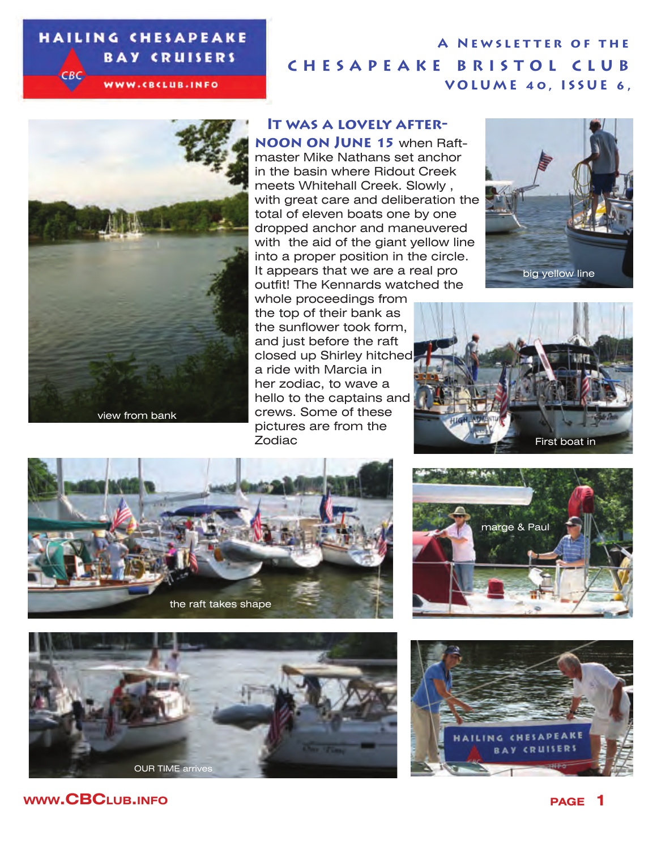#### **HAILING CHESAPEAKE BAY CRUISERS**  $-BC$

WWW.CBCLUB.INFO

## **CHESAPEAKE BRISTOL CLUB VOLUME 40, ISSUE 6, A Newsletter of the**



#### **It was a lovely after-**

**noon on June 15** when Raftmaster Mike Nathans set anchor in the basin where Ridout Creek meets Whitehall Creek. Slowly , with great care and deliberation the total of eleven boats one by one dropped anchor and maneuvered with the aid of the giant yellow line into a proper position in the circle. It appears that we are a real pro outfit! The Kennards watched the

whole proceedings from the top of their bank as the sunflower took form, and just before the raft closed up Shirley hitched a ride with Marcia in her zodiac, to wave a hello to the captains and crews. Some of these pictures are from the Zodiac











ILING CHESAPE

**BAY CRUISERS** 

marge & Paul

**www.CBC**LUB.INFO **page 1**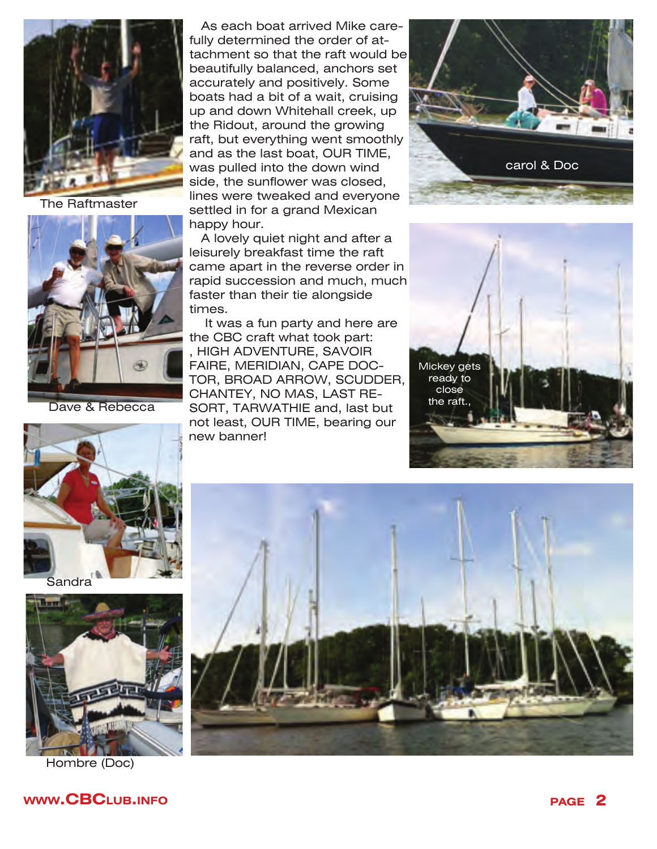

The Raftmaster



Dave & Rebecca

As each boat arrived Mike carefully determined the order of attachment so that the raft would be beautifully balanced, anchors set accurately and positively. Some boats had a bit of a wait, cruising up and down Whitehall creek, up the Ridout, around the growing raft, but everything went smoothly and as the last boat, OUR TIME, was pulled into the down wind side, the sunflower was closed, lines were tweaked and everyone settled in for a grand Mexican happy hour.

A lovely quiet night and after a leisurely breakfast time the raft came apart in the reverse order in rapid succession and much, much faster than their tie alongside times.

 It was a fun party and here are the CBC craft what took part: , HIGH ADVENTURE, SAVOIR FAIRE, MERIDIAN, CAPE DOC-TOR, BROAD ARROW, SCUDDER, CHANTEY, NO MAS, LAST RE-SORT, TARWATHIE and, last but not least, OUR TIME, bearing our new banner!







Sandra



Hombre (Doc)

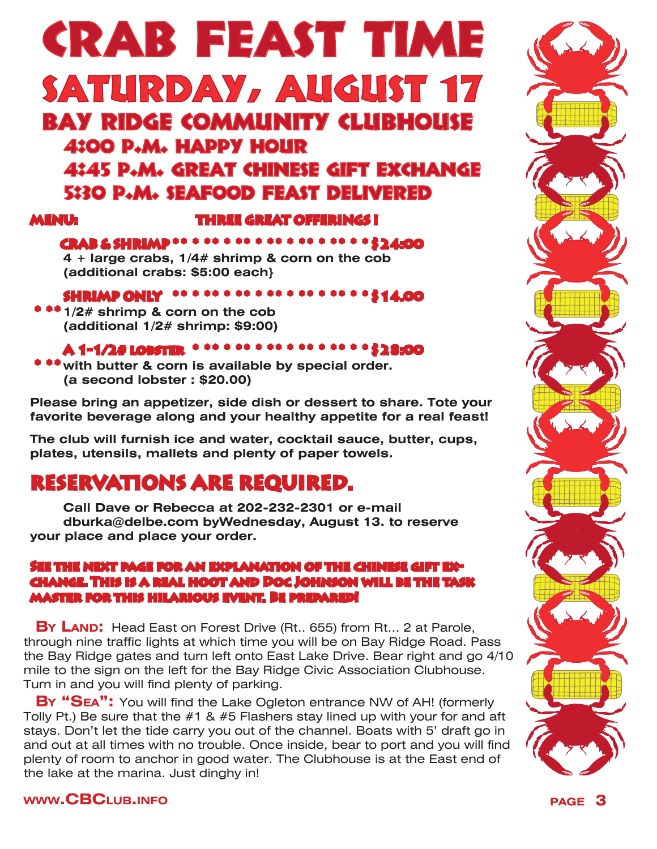# CRAB FEAST TIME SATURDAY, AUGUST 17 BAY RIDGE COMMUNITY CLUBHOUSE 4:00 p.m. happy hour 4:45 p.m. great chinese gift exchange 5:30 p.m. seafood feast delivered

#### **MENU: THREE GREAT OFFERINGS !**

#### **CRAB & SHRIMP \* \* \* \* \* \* \* \* \* \* \* \* \* \* \* \* \* \* \$24:00**

**4 + large crabs, 1/4# shrimp & corn on the cob (additional crabs: \$5:00 each}**

### **SHRIMP ONLY \* \* \* \* \* \* \* \* \* \* \* \* \* \* \* \* \* \* \$14.00**

 **\*1/2# shrimp & corn on the cob (additional 1/2# shrimp: \$9:00)**

### **A 1-1/2# lobster \* \* \* \* \* \* \* \* \* \* \* \* \* \* \* \* \$28:00**

 **\*with butter & corn is available by special order. (a second lobster : \$20.00)**

**Please bring an appetizer, side dish or dessert to share. Tote your favorite beverage along and your healthy appetite for a real feast!**

**The club will furnish ice and water, cocktail sauce, butter, cups, plates, utensils, mallets and plenty of paper towels.**

# **RESERVATIONS ARE REQUIRED.**

**Call Dave or Rebecca at 202-232-2301 or e-mail dburka@delbe.com byWednesday, August 13. to reserve your place and place your order.** 

#### **See the next page for an explanation of the chinese gift exchange. This is a real hoot and Doc Johnson will be the task master for this hilarious event. Be prepared!**

**BY LAND:** Head East on Forest Drive (Rt., 655) from Rt... 2 at Parole, through nine traffic lights at which time you will be on Bay Ridge Road. Pass the Bay Ridge gates and turn left onto East Lake Drive. Bear right and go 4/10 mile to the sign on the left for the Bay Ridge Civic Association Clubhouse. Turn in and you will find plenty of parking.

**By "Sea":** You will find the Lake Ogleton entrance NW of AH! (formerly Tolly Pt.) Be sure that the  $#1$  &  $#5$  Flashers stay lined up with your for and aft stays. Don't let the tide carry you out of the channel. Boats with 5' draft go in and out at all times with no trouble. Once inside, bear to port and you will find plenty of room to anchor in good water. The Clubhouse is at the East end of the lake at the marina. Just dinghy in!



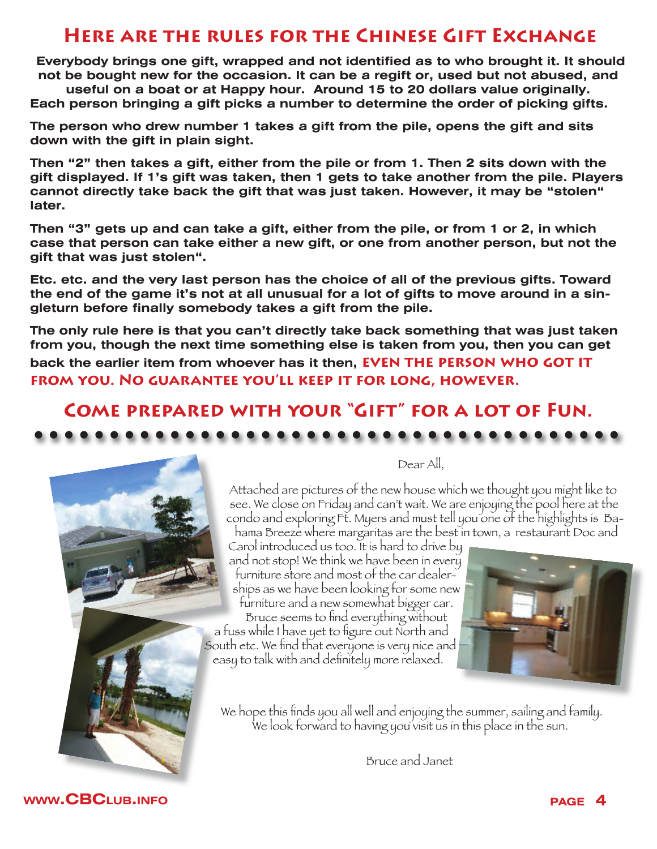# **Here are the rules for the Chinese Gift Exchange**

**Everybody brings one gift, wrapped and not identified as to who brought it. It should not be bought new for the occasion. It can be a regift or, used but not abused, and** 

**useful on a boat or at Happy hour. Around 15 to 20 dollars value originally. Each person bringing a gift picks a number to determine the order of picking gifts.** 

**The person who drew number 1 takes a gift from the pile, opens the gift and sits down with the gift in plain sight.**

**Then "2" then takes a gift, either from the pile or from 1. Then 2 sits down with the gift displayed. If 1's gift was taken, then 1 gets to take another from the pile. Players cannot directly take back the gift that was just taken. However, it may be "stolen" later.** 

**Then "3" gets up and can take a gift, either from the pile, or from 1 or 2, in which case that person can take either a new gift, or one from another person, but not the gift that was just stolen".** 

**Etc. etc. and the very last person has the choice of all of the previous gifts. Toward the end of the game it's not at all unusual for a lot of gifts to move around in a singleturn before finally somebody takes a gift from the pile.** 

**The only rule here is that you can't directly take back something that was just taken from you, though the next time something else is taken from you, then you can get back the earlier item from whoever has it then, EVEN THE PERSON WHO GOT IT from you. No guarantee you'll keep it for long, however.**

# **Come prepared with your "Gift" for a lot of Fun.**



Dear All,

Attached are pictures of the new house which we thought you might like to see. We close on Friday and can't wait. We are enjoying the pool here at the condo and exploring Ft. Myers and must tell you one of the highlights is Bahama Breeze where margaritas are the best in town, a restaurant Doc and

Carol introduced us too. It is hard to drive by and not stop! We think we have been in every furniture store and most of the car dealerships as we have been looking for some new furniture and a new somewhat bigger car. Bruce seems to find everything without

a fuss while I have yet to figure out North and South etc. We find that everyone is very nice and easy to talk with and definitely more relaxed.



We hope this finds you all well and enjoying the summer, sailing and family. We look forward to having you visit us in this place in the sun.

Bruce and Janet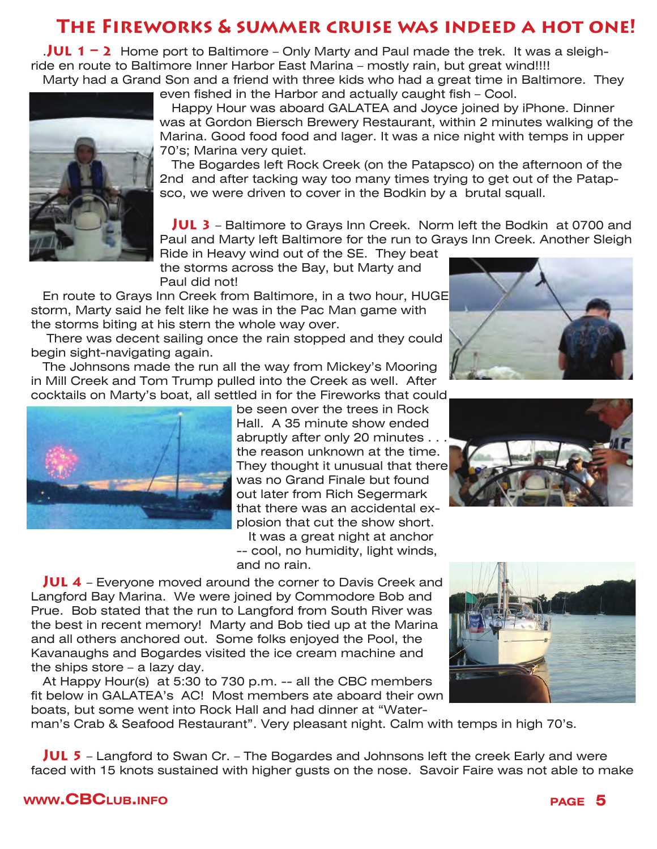# **The Fireworks & summer cruise was indeed a hot one!**

.**Jul 1 – 2** Home port to Baltimore – Only Marty and Paul made the trek. It was a sleighride en route to Baltimore Inner Harbor East Marina – mostly rain, but great wind!!!!

Marty had a Grand Son and a friend with three kids who had a great time in Baltimore. They even fished in the Harbor and actually caught fish – Cool.



Happy Hour was aboard GALATEA and Joyce joined by iPhone. Dinner was at Gordon Biersch Brewery Restaurant, within 2 minutes walking of the Marina. Good food food and lager. It was a nice night with temps in upper 70's; Marina very quiet.

The Bogardes left Rock Creek (on the Patapsco) on the afternoon of the 2nd and after tacking way too many times trying to get out of the Patapsco, we were driven to cover in the Bodkin by a brutal squall.

**Jul 3** – Baltimore to Grays Inn Creek. Norm left the Bodkin at 0700 and Paul and Marty left Baltimore for the run to Grays Inn Creek. Another Sleigh

Ride in Heavy wind out of the SE. They beat the storms across the Bay, but Marty and Paul did not!

En route to Grays Inn Creek from Baltimore, in a two hour, HUGE storm, Marty said he felt like he was in the Pac Man game with the storms biting at his stern the whole way over.

 There was decent sailing once the rain stopped and they could begin sight-navigating again.

The Johnsons made the run all the way from Mickey's Mooring in Mill Creek and Tom Trump pulled into the Creek as well. After cocktails on Marty's boat, all settled in for the Fireworks that could



be seen over the trees in Rock Hall. A 35 minute show ended abruptly after only 20 minutes. the reason unknown at the time. They thought it unusual that there was no Grand Finale but found out later from Rich Segermark that there was an accidental explosion that cut the show short.

It was a great night at anchor -- cool, no humidity, light winds, and no rain.



At Happy Hour(s) at 5:30 to 730 p.m. -- all the CBC members fit below in GALATEA's AC! Most members ate aboard their own boats, but some went into Rock Hall and had dinner at "Water-

man's Crab & Seafood Restaurant". Very pleasant night. Calm with temps in high 70's.

**Jul 5** – Langford to Swan Cr. – The Bogardes and Johnsons left the creek Early and were faced with 15 knots sustained with higher gusts on the nose. Savoir Faire was not able to make





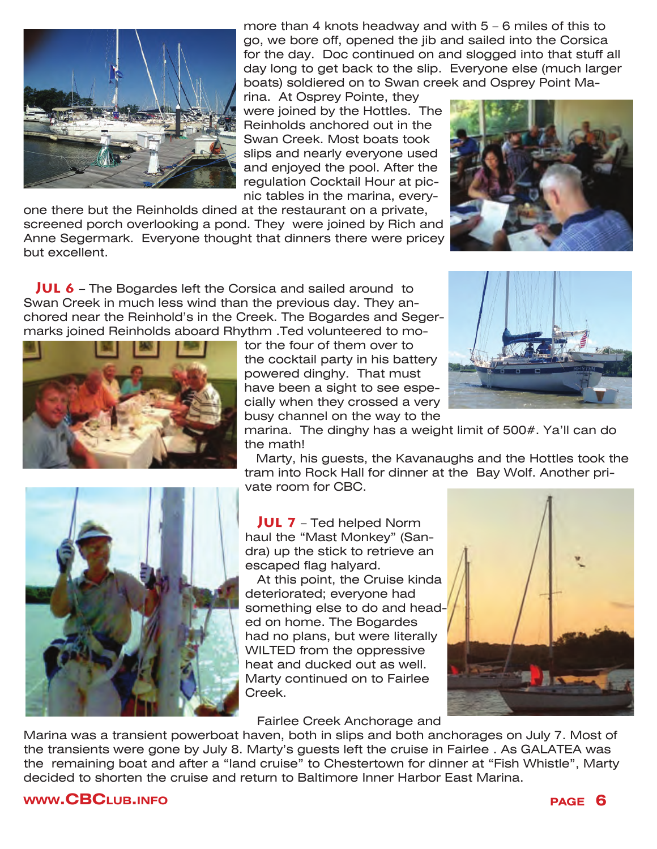

more than 4 knots headway and with 5 – 6 miles of this to go, we bore off, opened the jib and sailed into the Corsica for the day. Doc continued on and slogged into that stuff all day long to get back to the slip. Everyone else (much larger boats) soldiered on to Swan creek and Osprey Point Ma-

rina. At Osprey Pointe, they were joined by the Hottles. The Reinholds anchored out in the Swan Creek. Most boats took slips and nearly everyone used and enjoyed the pool. After the regulation Cocktail Hour at picnic tables in the marina, every-

one there but the Reinholds dined at the restaurant on a private, screened porch overlooking a pond. They were joined by Rich and Anne Segermark. Everyone thought that dinners there were pricey but excellent.

**Jul 6** – The Bogardes left the Corsica and sailed around to Swan Creek in much less wind than the previous day. They anchored near the Reinhold's in the Creek. The Bogardes and Segermarks joined Reinholds aboard Rhythm .Ted volunteered to mo-







busy channel on the way to the marina. The dinghy has a weight limit of 500#. Ya'll can do the math!

Marty, his guests, the Kavanaughs and the Hottles took the tram into Rock Hall for dinner at the Bay Wolf. Another private room for CBC.



**Jul 7** – Ted helped Norm haul the "Mast Monkey" (Sandra) up the stick to retrieve an escaped flag halyard.

At this point, the Cruise kinda deteriorated; everyone had something else to do and headed on home. The Bogardes had no plans, but were literally WILTED from the oppressive heat and ducked out as well. Marty continued on to Fairlee Creek.



Fairlee Creek Anchorage and

Marina was a transient powerboat haven, both in slips and both anchorages on July 7. Most of the transients were gone by July 8. Marty's guests left the cruise in Fairlee . As GALATEA was the remaining boat and after a "land cruise" to Chestertown for dinner at "Fish Whistle", Marty decided to shorten the cruise and return to Baltimore Inner Harbor East Marina.

#### **www.CBC**LUB.INFO **page 6**